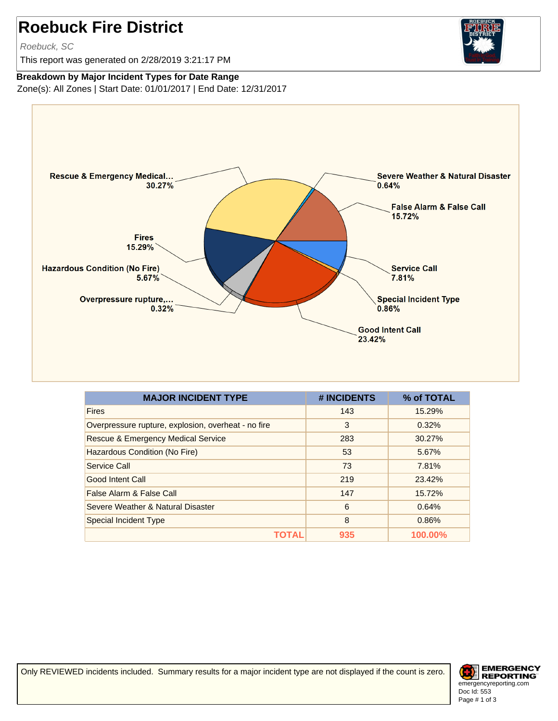## **Roebuck Fire District**

Roebuck, SC

This report was generated on 2/28/2019 3:21:17 PM



**Breakdown by Major Incident Types for Date Range**

Zone(s): All Zones | Start Date: 01/01/2017 | End Date: 12/31/2017



| <b>MAJOR INCIDENT TYPE</b>                          | # INCIDENTS | % of TOTAL |
|-----------------------------------------------------|-------------|------------|
| <b>Fires</b>                                        | 143         | 15.29%     |
| Overpressure rupture, explosion, overheat - no fire | 3           | 0.32%      |
| Rescue & Emergency Medical Service                  | 283         | 30.27%     |
| Hazardous Condition (No Fire)                       | 53          | 5.67%      |
| Service Call                                        | 73          | 7.81%      |
| Good Intent Call                                    | 219         | 23.42%     |
| False Alarm & False Call                            | 147         | 15.72%     |
| Severe Weather & Natural Disaster                   | 6           | 0.64%      |
| <b>Special Incident Type</b>                        | 8           | 0.86%      |
| ΤΟΤΑ                                                | 935         | 100.00%    |

Only REVIEWED incidents included. Summary results for a major incident type are not displayed if the count is zero.

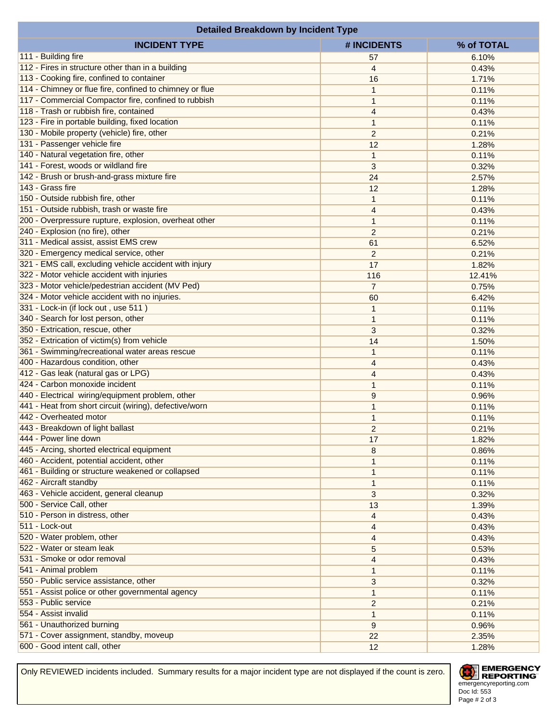| <b>Detailed Breakdown by Incident Type</b>              |                |                |  |  |
|---------------------------------------------------------|----------------|----------------|--|--|
| <b>INCIDENT TYPE</b>                                    | # INCIDENTS    | % of TOTAL     |  |  |
| 111 - Building fire                                     | 57             | 6.10%          |  |  |
| 112 - Fires in structure other than in a building       | 4              | 0.43%          |  |  |
| 113 - Cooking fire, confined to container               | 16             | 1.71%          |  |  |
| 114 - Chimney or flue fire, confined to chimney or flue | $\mathbf{1}$   | 0.11%          |  |  |
| 117 - Commercial Compactor fire, confined to rubbish    | $\mathbf{1}$   | 0.11%          |  |  |
| 118 - Trash or rubbish fire, contained                  | $\overline{4}$ | 0.43%          |  |  |
| 123 - Fire in portable building, fixed location         | $\mathbf{1}$   | 0.11%          |  |  |
| 130 - Mobile property (vehicle) fire, other             | $\overline{c}$ | 0.21%          |  |  |
| 131 - Passenger vehicle fire                            | 12             | 1.28%          |  |  |
| 140 - Natural vegetation fire, other                    | $\mathbf{1}$   | 0.11%          |  |  |
| 141 - Forest, woods or wildland fire                    | 3              | 0.32%          |  |  |
| 142 - Brush or brush-and-grass mixture fire             | 24             | 2.57%          |  |  |
| 143 - Grass fire                                        | 12             | 1.28%          |  |  |
| 150 - Outside rubbish fire, other                       | $\mathbf{1}$   | 0.11%          |  |  |
| 151 - Outside rubbish, trash or waste fire              | $\overline{4}$ | 0.43%          |  |  |
| 200 - Overpressure rupture, explosion, overheat other   | $\mathbf{1}$   | 0.11%          |  |  |
| 240 - Explosion (no fire), other                        | $\overline{2}$ |                |  |  |
| 311 - Medical assist, assist EMS crew                   | 61             | 0.21%<br>6.52% |  |  |
| 320 - Emergency medical service, other                  |                |                |  |  |
|                                                         | $\overline{c}$ | 0.21%          |  |  |
| 321 - EMS call, excluding vehicle accident with injury  | 17             | 1.82%          |  |  |
| 322 - Motor vehicle accident with injuries              | 116            | 12.41%         |  |  |
| 323 - Motor vehicle/pedestrian accident (MV Ped)        | $\overline{7}$ | 0.75%          |  |  |
| 324 - Motor vehicle accident with no injuries.          | 60             | 6.42%          |  |  |
| 331 - Lock-in (if lock out, use 511)                    | $\mathbf{1}$   | 0.11%          |  |  |
| 340 - Search for lost person, other                     | $\mathbf{1}$   | 0.11%          |  |  |
| 350 - Extrication, rescue, other                        | 3              | 0.32%          |  |  |
| 352 - Extrication of victim(s) from vehicle             | 14             | 1.50%          |  |  |
| 361 - Swimming/recreational water areas rescue          | $\mathbf{1}$   | 0.11%          |  |  |
| 400 - Hazardous condition, other                        | 4              | 0.43%          |  |  |
| 412 - Gas leak (natural gas or LPG)                     | $\overline{4}$ | 0.43%          |  |  |
| 424 - Carbon monoxide incident                          | $\mathbf{1}$   | 0.11%          |  |  |
| 440 - Electrical wiring/equipment problem, other        | 9              | 0.96%          |  |  |
| 441 - Heat from short circuit (wiring), defective/worn  | $\mathbf{1}$   | 0.11%          |  |  |
| 442 - Overheated motor                                  | $\mathbf{1}$   | 0.11%          |  |  |
| 443 - Breakdown of light ballast                        | $\overline{c}$ | 0.21%          |  |  |
| 444 - Power line down                                   | 17             | 1.82%          |  |  |
| 445 - Arcing, shorted electrical equipment              | 8              | 0.86%          |  |  |
| 460 - Accident, potential accident, other               | 1              | 0.11%          |  |  |
| 461 - Building or structure weakened or collapsed       | $\mathbf{1}$   | 0.11%          |  |  |
| 462 - Aircraft standby                                  | $\mathbf{1}$   | 0.11%          |  |  |
| 463 - Vehicle accident, general cleanup                 | 3              | 0.32%          |  |  |
| 500 - Service Call, other                               | 13             | 1.39%          |  |  |
| 510 - Person in distress, other                         | $\overline{4}$ | 0.43%          |  |  |
| 511 - Lock-out                                          | 4              | 0.43%          |  |  |
| 520 - Water problem, other                              | 4              | 0.43%          |  |  |
| 522 - Water or steam leak                               | 5              | 0.53%          |  |  |
| 531 - Smoke or odor removal                             | 4              | 0.43%          |  |  |
| 541 - Animal problem                                    | $\mathbf{1}$   | 0.11%          |  |  |
| 550 - Public service assistance, other                  | 3              | 0.32%          |  |  |
| 551 - Assist police or other governmental agency        | 1              | 0.11%          |  |  |
| 553 - Public service                                    | $\overline{c}$ | 0.21%          |  |  |
| 554 - Assist invalid                                    | $\mathbf{1}$   | 0.11%          |  |  |
| 561 - Unauthorized burning                              | 9              | 0.96%          |  |  |
| 571 - Cover assignment, standby, moveup                 | 22             | 2.35%          |  |  |
| 600 - Good intent call, other                           | 12             | 1.28%          |  |  |

Only REVIEWED incidents included. Summary results for a major incident type are not displayed if the count is zero.